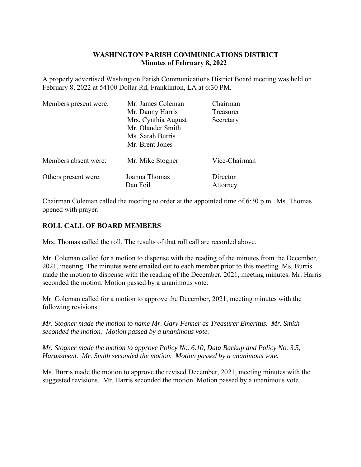## **WASHINGTON PARISH COMMUNICATIONS DISTRICT Minutes of February 8, 2022**

A properly advertised Washington Parish Communications District Board meeting was held on February 8, 2022 at 54100 Dollar Rd, Franklinton, LA at 6:30 PM.

| Members present were: | Mr. James Coleman   | Chairman      |  |
|-----------------------|---------------------|---------------|--|
|                       | Mr. Danny Harris    | Treasurer     |  |
|                       | Mrs. Cynthia August | Secretary     |  |
|                       | Mr. Olander Smith   |               |  |
|                       | Ms. Sarah Burris    |               |  |
|                       | Mr. Brent Jones     |               |  |
| Members absent were:  | Mr. Mike Stogner    | Vice-Chairman |  |
| Others present were:  | Joanna Thomas       | Director      |  |
|                       | Dan Foil            | Attorney      |  |

Chairman Coleman called the meeting to order at the appointed time of 6:30 p.m. Ms. Thomas opened with prayer.

## **ROLL CALL OF BOARD MEMBERS**

Mrs. Thomas called the roll. The results of that roll call are recorded above.

Mr. Coleman called for a motion to dispense with the reading of the minutes from the December, 2021, meeting. The minutes were emailed out to each member prior to this meeting. Ms. Burris made the motion to dispense with the reading of the December, 2021, meeting minutes. Mr. Harris seconded the motion. Motion passed by a unanimous vote.

Mr. Coleman called for a motion to approve the December, 2021, meeting minutes with the following revisions :

*Mr. Stogner made the motion to name Mr. Gary Fenner as Treasurer Emeritus. Mr. Smith seconded the motion. Motion passed by a unanimous vote.* 

*Mr. Stogner made the motion to approve Policy No. 6.10, Data Backup and Policy No. 3.5, Harassment. Mr. Smith seconded the motion. Motion passed by a unanimous vote.* 

Ms. Burris made the motion to approve the revised December, 2021, meeting minutes with the suggested revisions. Mr. Harris seconded the motion. Motion passed by a unanimous vote.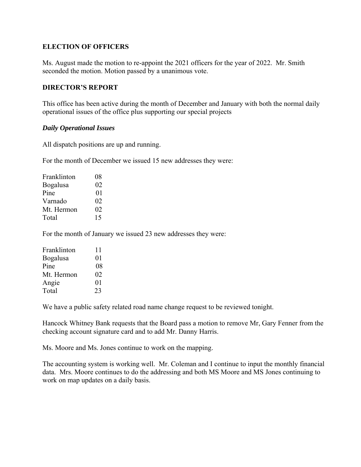### **ELECTION OF OFFICERS**

Ms. August made the motion to re-appoint the 2021 officers for the year of 2022. Mr. Smith seconded the motion. Motion passed by a unanimous vote.

#### **DIRECTOR'S REPORT**

This office has been active during the month of December and January with both the normal daily operational issues of the office plus supporting our special projects

#### *Daily Operational Issues*

All dispatch positions are up and running.

For the month of December we issued 15 new addresses they were:

| Franklinton      | 08 |
|------------------|----|
| <b>B</b> ogalusa | 02 |
| Pine             | 01 |
| Varnado          | 02 |
| Mt. Hermon       | 02 |
| Total            | 15 |

For the month of January we issued 23 new addresses they were:

| Franklinton     | 11 |
|-----------------|----|
| <b>Bogalusa</b> | 01 |
| Pine            | 08 |
| Mt. Hermon      | 02 |
| Angie           | 01 |
| Total           | 23 |

We have a public safety related road name change request to be reviewed tonight.

Hancock Whitney Bank requests that the Board pass a motion to remove Mr, Gary Fenner from the checking account signature card and to add Mr. Danny Harris.

Ms. Moore and Ms. Jones continue to work on the mapping.

The accounting system is working well. Mr. Coleman and I continue to input the monthly financial data. Mrs. Moore continues to do the addressing and both MS Moore and MS Jones continuing to work on map updates on a daily basis.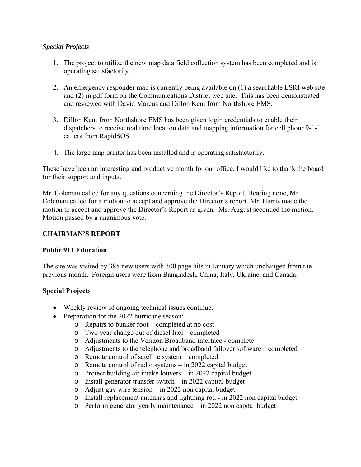### *Special Projects*

- 1. The project to utilize the new map data field collection system has been completed and is operating satisfactorily.
- 2. An emergency responder map is currently being available on (1) a searchable ESRI web site and (2) in pdf form on the Communications District web site. This has been demonstrated and reviewed with David Marcus and Dillon Kent from Northshore EMS.
- 3. Dillon Kent from Northshore EMS has been given login credentials to enable their dispatchers to receive real time location data and mapping information for cell phonr 9-1-1 callers from RapidSOS.
- 4. The large map printer has been installed and is operating satisfactorily.

These have been an interesting and productive month for our office. I would like to thank the board for their support and inputs.

Mr. Coleman called for any questions concerning the Director's Report. Hearing none, Mr. Coleman called for a motion to accept and approve the Director's report. Mr. Harris made the motion to accept and approve the Director's Report as given. Ms. August seconded the motion. Motion passed by a unanimous vote.

## **CHAIRMAN'S REPORT**

#### **Public 911 Education**

The site was visited by 385 new users with 300 page hits in January which unchanged from the previous month. Foreign users were from Bangladesh, China, Italy, Ukraine, and Canada.

## **Special Projects**

- Weekly review of ongoing technical issues continue.
- Preparation for the 2022 hurricane season:
	- o Repairs to bunker roof completed at no cost
	- o Two year change out of diesel fuel completed
	- o Adjustments to the Verizon Broadband interface complete
	- o Adjustments to the telephone and broadband failover software completed
	- o Remote control of satellite system completed
	- o Remote control of radio systems in 2022 capital budget
	- o Protect building air intake louvers in 2022 capital budget
	- o Install generator transfer switch in 2022 capital budget
	- o Adjust guy wire tension in 2022 non capital budget
	- o Install replacement antennas and lightning rod in 2022 non capital budget
	- o Perform generator yearly maintenance in 2022 non capital budget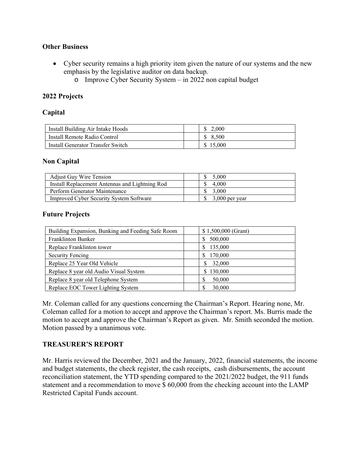### **Other Business**

- Cyber security remains a high priority item given the nature of our systems and the new emphasis by the legislative auditor on data backup.
	- o Improve Cyber Security System in 2022 non capital budget

### **2022 Projects**

### **Capital**

| Install Building Air Intake Hoods |        |
|-----------------------------------|--------|
| Install Remote Radio Control      | 8.500  |
| Install Generator Transfer Switch | 15.000 |

### **Non Capital**

| <b>Adjust Guy Wire Tension</b>                 | 5,000                 |
|------------------------------------------------|-----------------------|
| Install Replacement Antennas and Lightning Rod | 4.000                 |
| Perform Generator Maintenance                  | $\frac{\$}{\$}$ 3.000 |
| <b>Improved Cyber Security System Software</b> | $$3,000$ per year     |

### **Future Projects**

| Building Expansion, Bunking and Feeding Safe Room | $$1,500,000$ (Grant) |
|---------------------------------------------------|----------------------|
| Franklinton Bunker                                | 500,000<br>S         |
| Replace Franklinton tower                         | 135,000<br>S         |
| <b>Security Fencing</b>                           | 170,000              |
| Replace 25 Year Old Vehicle                       | 32,000               |
| Replace 8 year old Audio Visual System            | 130,000              |
| Replace 8 year old Telephone System               | 50,000               |
| Replace EOC Tower Lighting System                 | 30,000               |

Mr. Coleman called for any questions concerning the Chairman's Report. Hearing none, Mr. Coleman called for a motion to accept and approve the Chairman's report. Ms. Burris made the motion to accept and approve the Chairman's Report as given. Mr. Smith seconded the motion. Motion passed by a unanimous vote.

## **TREASURER'S REPORT**

Mr. Harris reviewed the December, 2021 and the January, 2022, financial statements, the income and budget statements, the check register, the cash receipts, cash disbursements, the account reconciliation statement, the YTD spending compared to the 2021/2022 budget, the 911 funds statement and a recommendation to move \$ 60,000 from the checking account into the LAMP Restricted Capital Funds account.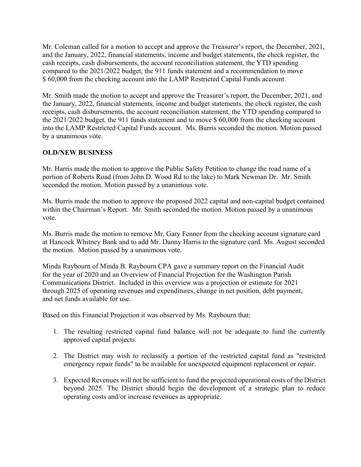Mr. Coleman called for a motion to accept and approve the Treasurer's report, the December, 2021, and the January, 2022, financial statements, income and budget statements, the check register, the cash receipts, cash disbursements, the account reconciliation statement, the YTD spending compared to the 2021/2022 budget, the 911 funds statement and a recommendation to move \$ 60,000 from the checking account into the LAMP Restricted Capital Funds account.

Mr. Smith made the motion to accept and approve the Treasurer's report, the December, 2021, and the January, 2022, financial statements, income and budget statements, the check register, the cash receipts, cash disbursements, the account reconciliation statement, the YTD spending compared to the 2021/2022 budget, the 911 funds statement and to move \$ 60,000 from the checking account into the LAMP Restricted Capital Funds account. Ms. Burris seconded the motion. Motion passed by a unanimous vote.

# **OLD/NEW BUSINESS**

Mr. Harris made the motion to approve the Public Safety Petition to change the road name of a portion of Roberts Road (from John D. Wood Rd to the lake) to Mark Newman Dr. Mr. Smith seconded the motion. Motion passed by a unanimous vote.

Ms. Burris made the motion to approve the proposed 2022 capital and non-capital budget contained within the Chairman's Report. Mr. Smith seconded the motion. Motion passed by a unanimous vote.

Ms. Burris made the motion to remove Mr, Gary Fenner from the checking account signature card at Hancock Whitney Bank and to add Mr. Danny Harris to the signature card. Ms. August seconded the motion. Motion passed by a unanimous vote.

Minda Raybourn of Minda B. Raybourn CPA gave a summary report on the Financial Audit for the year of 2020 and an Overview of Financial Projection for the Washington Parish Communications District. Included in this overview was a projection or estimate for 2021 through 2025 of operating revenues and expenditures, change in net position, debt payment, and net funds available for use.

Based on this Financial Projection it was observed by Ms. Raybourn that:

- 1. The resulting restricted capital fund balance will not be adequate to fund the currently approved capital projects.
- 2. The District may wish to reclassify a portion of the restricted capital fund as "restricted emergency repair funds" to be available for unexpected equipment replacement or repair.
- 3. Expected Revenues will not be sufficient to fund the projected operational costs of the District beyond 2025. The District should begin the development of a strategic plan to reduce operating costs and/or increase revenues as appropriate.